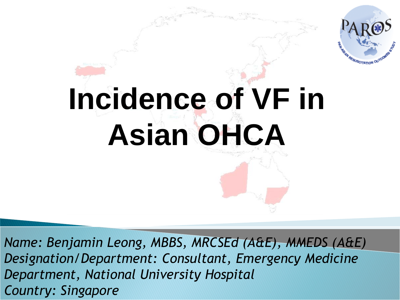

# **Incidence of VF in Asian OHCA**

*Name: Benjamin Leong, MBBS, MRCSEd (A&E), MMEDS (A&E) Designation/Department: Consultant, Emergency Medicine Department, National University Hospital Country: Singapore*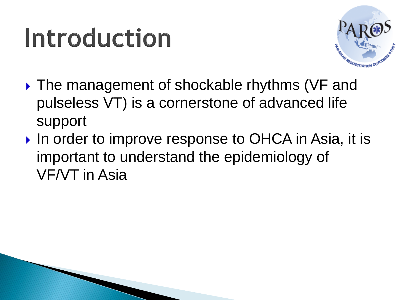#### Introduction



- ▶ The management of shockable rhythms (VF and pulseless VT) is a cornerstone of advanced life support
- In order to improve response to OHCA in Asia, it is important to understand the epidemiology of VF/VT in Asia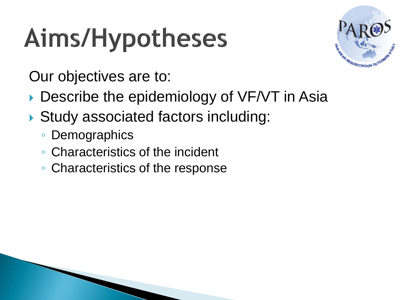# Aims/Hypotheses



Our objectives are to:

- Describe the epidemiology of VF/VT in Asia
- Study associated factors including:
	- Demographics
	- Characteristics of the incident
	- Characteristics of the response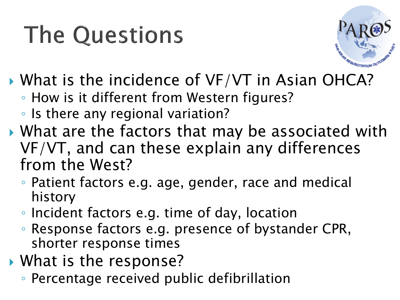#### **The Questions**



- What is the incidence of VF/VT in Asian OHCA?
	- How is it different from Western figures?
	- Is there any regional variation?
- What are the factors that may be associated with VF/VT, and can these explain any differences from the West?
	- Patient factors e.g. age, gender, race and medical history
	- Incident factors e.g. time of day, location
	- Response factors e.g. presence of bystander CPR, shorter response times
- ▶ What is the response?
	- Percentage received public defibrillation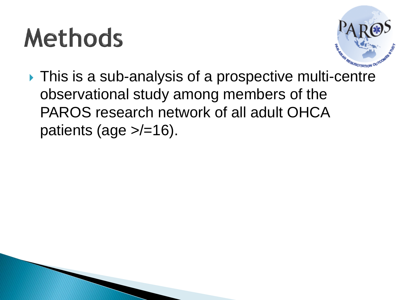### **Methods**



▶ This is a sub-analysis of a prospective multi-centre observational study among members of the PAROS research network of all adult OHCA patients (age  $\ge$ /=16).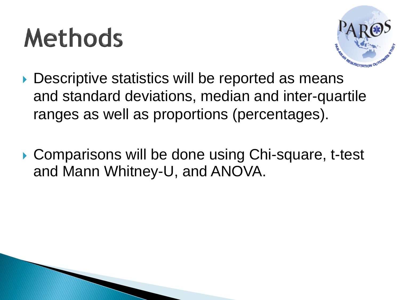# **Methods**



- ▶ Descriptive statistics will be reported as means and standard deviations, median and inter-quartile ranges as well as proportions (percentages).
- ▶ Comparisons will be done using Chi-square, t-test and Mann Whitney-U, and ANOVA.